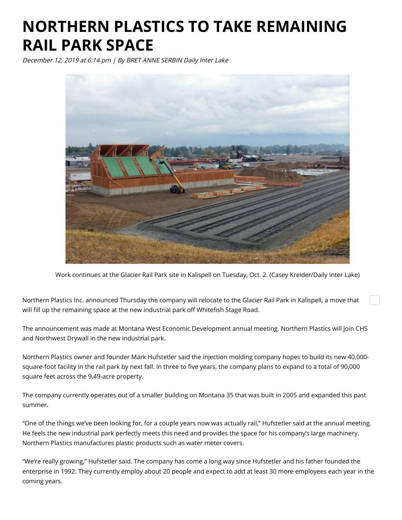## **NORTHERN PLASTICS TO TAKE REMAINING RAIL PARK SPACE**

December 12, 2019 at 6:14 pm | By BRET ANNE SERBIN Daily Inter Lake



Work continues at the Glacier Rail Park site in Kalispell on Tuesday, Oct. 2. (Casey Kreider/Daily Inter Lake)

Northern Plastics Inc. announced Thursday the company will relocate to the Glacier Rail Park in Kalispell, a move that will fill up the remaining space at the new industrial park off Whitefish Stage Road.

The announcement was made at Montana West Economic Development annual meeting. Northern Plastics will join CHS and Northwest Drywall in the new industrial park.

Northern Plastics owner and founder Mark Hufstetler said the injection molding company hopes to build its new 40,000 square-foot facility in the rail park by next fall. In three to five years, the company plans to expand to a total of 90,000 square feet across the 9.49-acre property.

The company currently operates out of a smaller building on Montana 35 that was built in 2005 and expanded this past summer.

"One of the things we've been looking for, for a couple years now was actually rail," Hufstetler said at the annual meeting. He feels the new industrial park perfectly meets this need and provides the space for his company's large machinery. Northern Plastics manufactures plastic products such as water meter covers.

"We're really growing," Hufstetler said. The company has come a long way since Hufstetler and his father founded the enterprise in 1992. They currently employ about 20 people and expect to add at least 30 more employees each year in the coming years.